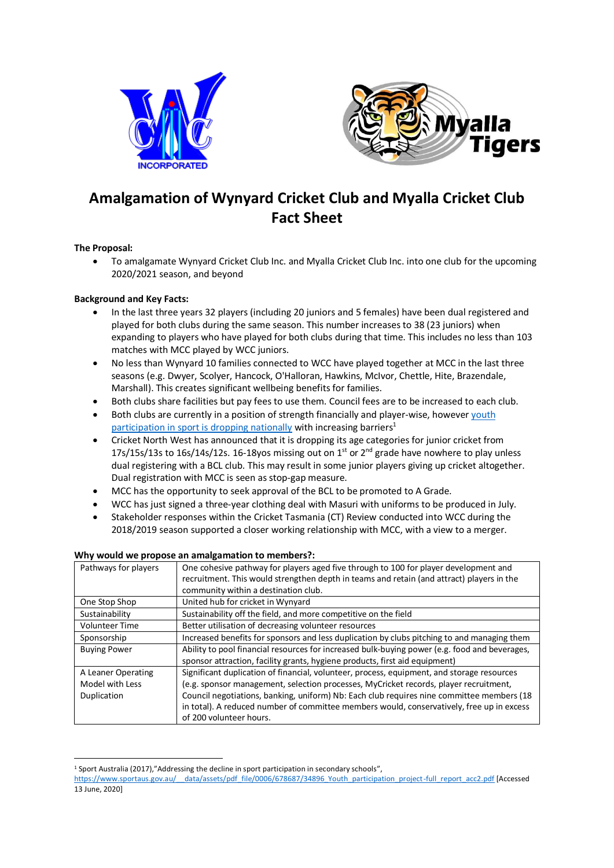



# **Amalgamation of Wynyard Cricket Club and Myalla Cricket Club Fact Sheet**

# **The Proposal:**

• To amalgamate Wynyard Cricket Club Inc. and Myalla Cricket Club Inc. into one club for the upcoming 2020/2021 season, and beyond

# **Background and Key Facts:**

- In the last three years 32 players (including 20 juniors and 5 females) have been dual registered and played for both clubs during the same season. This number increases to 38 (23 juniors) when expanding to players who have played for both clubs during that time. This includes no less than 103 matches with MCC played by WCC juniors.
- No less than Wynyard 10 families connected to WCC have played together at MCC in the last three seasons (e.g. Dwyer, Scolyer, Hancock, O'Halloran, Hawkins, McIvor, Chettle, Hite, Brazendale, Marshall). This creates significant wellbeing benefits for families.
- Both clubs share facilities but pay fees to use them. Council fees are to be increased to each club.
- Both clubs are currently in a position of strength financially and player-wise, however [youth](https://www.sportaus.gov.au/__data/assets/pdf_file/0006/678687/34896_Youth_participation_project-full_report_acc2.pdf)  [participation in sport is dropping nationally](https://www.sportaus.gov.au/__data/assets/pdf_file/0006/678687/34896_Youth_participation_project-full_report_acc2.pdf) with increasing barriers<sup>1</sup>
- Cricket North West has announced that it is dropping its age categories for junior cricket from 17s/15s/13s to 16s/14s/12s. 16-18yos missing out on  $1<sup>st</sup>$  or  $2<sup>nd</sup>$  grade have nowhere to play unless dual registering with a BCL club. This may result in some junior players giving up cricket altogether. Dual registration with MCC is seen as stop-gap measure.
- MCC has the opportunity to seek approval of the BCL to be promoted to A Grade.
- WCC has just signed a three-year clothing deal with Masuri with uniforms to be produced in July.
- Stakeholder responses within the Cricket Tasmania (CT) Review conducted into WCC during the 2018/2019 season supported a closer working relationship with MCC, with a view to a merger.

| Pathways for players  | One cohesive pathway for players aged five through to 100 for player development and<br>recruitment. This would strengthen depth in teams and retain (and attract) players in the<br>community within a destination club. |
|-----------------------|---------------------------------------------------------------------------------------------------------------------------------------------------------------------------------------------------------------------------|
| One Stop Shop         | United hub for cricket in Wynyard                                                                                                                                                                                         |
| Sustainability        | Sustainability off the field, and more competitive on the field                                                                                                                                                           |
| <b>Volunteer Time</b> | Better utilisation of decreasing volunteer resources                                                                                                                                                                      |
| Sponsorship           | Increased benefits for sponsors and less duplication by clubs pitching to and managing them                                                                                                                               |
| <b>Buying Power</b>   | Ability to pool financial resources for increased bulk-buying power (e.g. food and beverages,<br>sponsor attraction, facility grants, hygiene products, first aid equipment)                                              |
| A Leaner Operating    | Significant duplication of financial, volunteer, process, equipment, and storage resources                                                                                                                                |
| Model with Less       | (e.g. sponsor management, selection processes, MyCricket records, player recruitment,                                                                                                                                     |
| Duplication           | Council negotiations, banking, uniform) Nb: Each club requires nine committee members (18<br>in total). A reduced number of committee members would, conservatively, free up in excess                                    |
|                       | of 200 volunteer hours.                                                                                                                                                                                                   |

## **Why would we propose an amalgamation to members?:**

<sup>&</sup>lt;sup>1</sup> Sport Australia (2017),"Addressing the decline in sport participation in secondary schools",

[https://www.sportaus.gov.au/\\_\\_data/assets/pdf\\_file/0006/678687/34896\\_Youth\\_participation\\_project-full\\_report\\_acc2.pdf](https://www.sportaus.gov.au/__data/assets/pdf_file/0006/678687/34896_Youth_participation_project-full_report_acc2.pdf) [Accessed 13 June, 2020]